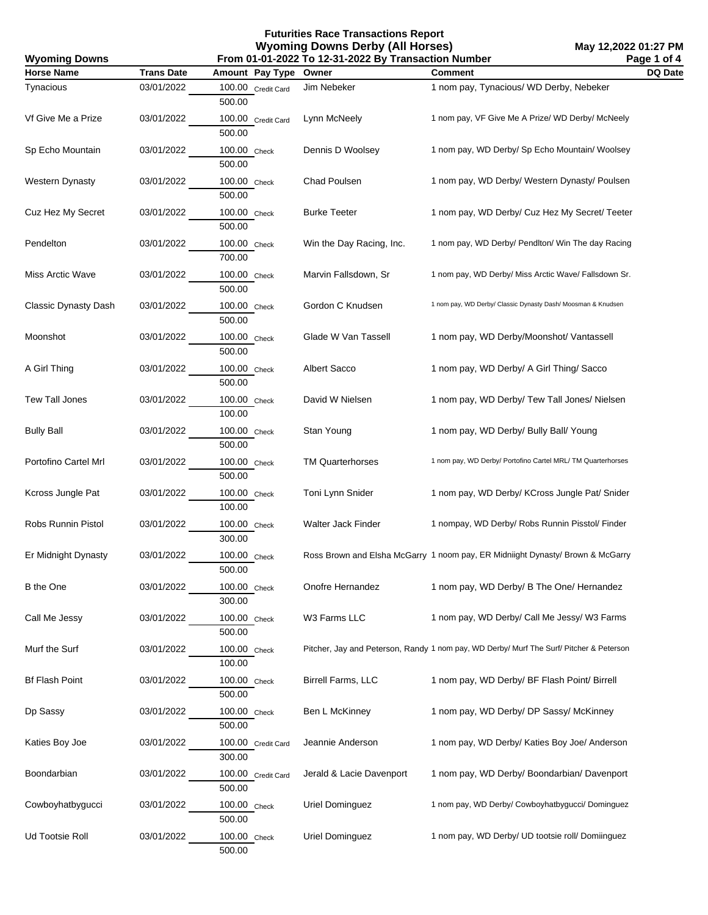| From 01-01-2022 To 12-31-2022 By Transaction Number<br><b>Wyoming Downs</b> |                   |                              |                          |                                                                                         | Page 1 of 4 |
|-----------------------------------------------------------------------------|-------------------|------------------------------|--------------------------|-----------------------------------------------------------------------------------------|-------------|
| <b>Horse Name</b>                                                           | <b>Trans Date</b> | Amount Pay Type              | Owner                    | <b>Comment</b>                                                                          | DQ Date     |
| Tynacious                                                                   | 03/01/2022        | 100.00 Credit Card<br>500.00 | Jim Nebeker              | 1 nom pay, Tynacious/ WD Derby, Nebeker                                                 |             |
| Vf Give Me a Prize                                                          | 03/01/2022        | 100.00 Credit Card<br>500.00 | Lynn McNeely             | 1 nom pay, VF Give Me A Prize/ WD Derby/ McNeely                                        |             |
| Sp Echo Mountain                                                            | 03/01/2022        | 100.00 Check<br>500.00       | Dennis D Woolsey         | 1 nom pay, WD Derby/ Sp Echo Mountain/ Woolsey                                          |             |
| <b>Western Dynasty</b>                                                      | 03/01/2022        | 100.00 Check<br>500.00       | Chad Poulsen             | 1 nom pay, WD Derby/ Western Dynasty/ Poulsen                                           |             |
| Cuz Hez My Secret                                                           | 03/01/2022        | 100.00 Check<br>500.00       | <b>Burke Teeter</b>      | 1 nom pay, WD Derby/ Cuz Hez My Secret/ Teeter                                          |             |
| Pendelton                                                                   | 03/01/2022        | 100.00 Check<br>700.00       | Win the Day Racing, Inc. | 1 nom pay, WD Derby/ PendIton/ Win The day Racing                                       |             |
| Miss Arctic Wave                                                            | 03/01/2022        | 100.00 Check<br>500.00       | Marvin Fallsdown, Sr     | 1 nom pay, WD Derby/ Miss Arctic Wave/ Fallsdown Sr.                                    |             |
| Classic Dynasty Dash                                                        | 03/01/2022        | 100.00 Check<br>500.00       | Gordon C Knudsen         | 1 nom pay, WD Derby/ Classic Dynasty Dash/ Moosman & Knudsen                            |             |
| Moonshot                                                                    | 03/01/2022        | 100.00 Check<br>500.00       | Glade W Van Tassell      | 1 nom pay, WD Derby/Moonshot/ Vantassell                                                |             |
| A Girl Thing                                                                | 03/01/2022        | 100.00 Check<br>500.00       | Albert Sacco             | 1 nom pay, WD Derby/ A Girl Thing/ Sacco                                                |             |
| Tew Tall Jones                                                              | 03/01/2022        | 100.00 Check<br>100.00       | David W Nielsen          | 1 nom pay, WD Derby/ Tew Tall Jones/ Nielsen                                            |             |
| <b>Bully Ball</b>                                                           | 03/01/2022        | 100.00 Check<br>500.00       | Stan Young               | 1 nom pay, WD Derby/ Bully Ball/ Young                                                  |             |
| Portofino Cartel Mrl                                                        | 03/01/2022        | 100.00 Check<br>500.00       | <b>TM Quarterhorses</b>  | 1 nom pay, WD Derby/ Portofino Cartel MRL/ TM Quarterhorses                             |             |
| Kcross Jungle Pat                                                           | 03/01/2022        | 100.00 Check<br>100.00       | Toni Lynn Snider         | 1 nom pay, WD Derby/ KCross Jungle Pat/ Snider                                          |             |
| Robs Runnin Pistol                                                          | 03/01/2022        | 100.00 Check<br>300.00       | Walter Jack Finder       | 1 nompay, WD Derby/ Robs Runnin Pisstol/ Finder                                         |             |
| Er Midnight Dynasty                                                         | 03/01/2022        | 100.00 Check<br>500.00       |                          | Ross Brown and Elsha McGarry 1 noom pay, ER Midniight Dynasty/ Brown & McGarry          |             |
| <b>B</b> the One                                                            | 03/01/2022        | 100.00 Check<br>300.00       | Onofre Hernandez         | 1 nom pay, WD Derby/ B The One/ Hernandez                                               |             |
| Call Me Jessy                                                               | 03/01/2022        | 100.00 Check<br>500.00       | W3 Farms LLC             | 1 nom pay, WD Derby/ Call Me Jessy/ W3 Farms                                            |             |
| Murf the Surf                                                               | 03/01/2022        | 100.00 Check<br>100.00       |                          | Pitcher, Jay and Peterson, Randy 1 nom pay, WD Derby/ Murf The Surf/ Pitcher & Peterson |             |
| <b>Bf Flash Point</b>                                                       | 03/01/2022        | 100.00 Check<br>500.00       | Birrell Farms, LLC       | 1 nom pay, WD Derby/ BF Flash Point/ Birrell                                            |             |
| Dp Sassy                                                                    | 03/01/2022        | 100.00 Check<br>500.00       | Ben L McKinney           | 1 nom pay, WD Derby/ DP Sassy/ McKinney                                                 |             |
| Katies Boy Joe                                                              | 03/01/2022        | 100.00 Credit Card<br>300.00 | Jeannie Anderson         | 1 nom pay, WD Derby/ Katies Boy Joe/ Anderson                                           |             |
| Boondarbian                                                                 | 03/01/2022        | 100.00 Credit Card<br>500.00 | Jerald & Lacie Davenport | 1 nom pay, WD Derby/ Boondarbian/ Davenport                                             |             |
| Cowboyhatbygucci                                                            | 03/01/2022        | 100.00 Check<br>500.00       | Uriel Dominguez          | 1 nom pay, WD Derby/ Cowboyhatbygucci/ Dominguez                                        |             |
| Ud Tootsie Roll                                                             | 03/01/2022        | 100.00 Check<br>500.00       | Uriel Dominguez          | 1 nom pay, WD Derby/ UD tootsie roll/ Domiinguez                                        |             |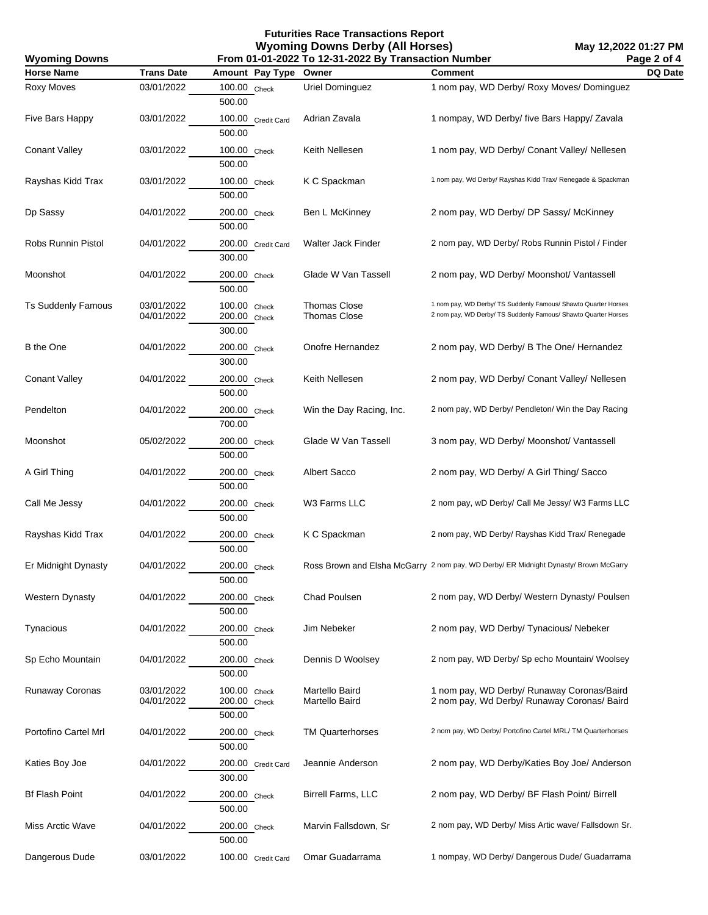| <b>Wyoming Downs</b>      | From 01-01-2022 To 12-31-2022 By Transaction Number |                                        |                                            |                                                                                                                                  |         |
|---------------------------|-----------------------------------------------------|----------------------------------------|--------------------------------------------|----------------------------------------------------------------------------------------------------------------------------------|---------|
| <b>Horse Name</b>         | <b>Trans Date</b>                                   | Amount Pay Type                        | Owner                                      | <b>Comment</b>                                                                                                                   | DQ Date |
| Roxy Moves                | 03/01/2022                                          | 100.00 Check<br>500.00                 | Uriel Dominguez                            | 1 nom pay, WD Derby/ Roxy Moves/ Dominguez                                                                                       |         |
| Five Bars Happy           | 03/01/2022                                          | 100.00 Credit Card<br>500.00           | Adrian Zavala                              | 1 nompay, WD Derby/ five Bars Happy/ Zavala                                                                                      |         |
| <b>Conant Valley</b>      | 03/01/2022                                          | 100.00 Check<br>500.00                 | Keith Nellesen                             | 1 nom pay, WD Derby/ Conant Valley/ Nellesen                                                                                     |         |
| Rayshas Kidd Trax         | 03/01/2022                                          | 100.00 Check<br>500.00                 | K C Spackman                               | 1 nom pay, Wd Derby/ Rayshas Kidd Trax/ Renegade & Spackman                                                                      |         |
| Dp Sassy                  | 04/01/2022                                          | 200.00 Check<br>500.00                 | Ben L McKinney                             | 2 nom pay, WD Derby/ DP Sassy/ McKinney                                                                                          |         |
| Robs Runnin Pistol        | 04/01/2022                                          | 200.00 Credit Card<br>300.00           | Walter Jack Finder                         | 2 nom pay, WD Derby/ Robs Runnin Pistol / Finder                                                                                 |         |
| Moonshot                  | 04/01/2022                                          | 200.00 Check<br>500.00                 | Glade W Van Tassell                        | 2 nom pay, WD Derby/ Moonshot/ Vantassell                                                                                        |         |
| <b>Ts Suddenly Famous</b> | 03/01/2022<br>04/01/2022                            | 100.00 Check<br>200.00 Check<br>300.00 | <b>Thomas Close</b><br><b>Thomas Close</b> | 1 nom pay, WD Derby/ TS Suddenly Famous/ Shawto Quarter Horses<br>2 nom pay, WD Derby/ TS Suddenly Famous/ Shawto Quarter Horses |         |
| B the One                 | 04/01/2022                                          | 200.00 Check<br>300.00                 | Onofre Hernandez                           | 2 nom pay, WD Derby/ B The One/ Hernandez                                                                                        |         |
| <b>Conant Valley</b>      | 04/01/2022                                          | 200.00 Check<br>500.00                 | Keith Nellesen                             | 2 nom pay, WD Derby/ Conant Valley/ Nellesen                                                                                     |         |
| Pendelton                 | 04/01/2022                                          | 200.00 Check<br>700.00                 | Win the Day Racing, Inc.                   | 2 nom pay, WD Derby/ Pendleton/ Win the Day Racing                                                                               |         |
| Moonshot                  | 05/02/2022                                          | 200.00 Check<br>500.00                 | Glade W Van Tassell                        | 3 nom pay, WD Derby/ Moonshot/ Vantassell                                                                                        |         |
| A Girl Thing              | 04/01/2022                                          | $200.00$ Check<br>500.00               | Albert Sacco                               | 2 nom pay, WD Derby/ A Girl Thing/ Sacco                                                                                         |         |
| Call Me Jessy             | 04/01/2022                                          | 200.00 Check<br>500.00                 | W3 Farms LLC                               | 2 nom pay, wD Derby/ Call Me Jessy/ W3 Farms LLC                                                                                 |         |
| Rayshas Kidd Trax         | 04/01/2022                                          | 200.00 Check<br>500.00                 | K C Spackman                               | 2 nom pay, WD Derby/ Rayshas Kidd Trax/ Renegade                                                                                 |         |
| Er Midnight Dynasty       | 04/01/2022                                          | 200.00 Check<br>500.00                 |                                            | Ross Brown and Elsha McGarry 2 nom pay, WD Derby/ ER Midnight Dynasty/ Brown McGarry                                             |         |
| <b>Western Dynasty</b>    | 04/01/2022                                          | 200.00 Check<br>500.00                 | <b>Chad Poulsen</b>                        | 2 nom pay, WD Derby/ Western Dynasty/ Poulsen                                                                                    |         |
| Tynacious                 | 04/01/2022                                          | 200.00 Check<br>500.00                 | Jim Nebeker                                | 2 nom pay, WD Derby/ Tynacious/ Nebeker                                                                                          |         |
| Sp Echo Mountain          | 04/01/2022                                          | 200.00 Check<br>500.00                 | Dennis D Woolsey                           | 2 nom pay, WD Derby/ Sp echo Mountain/ Woolsey                                                                                   |         |
| Runaway Coronas           | 03/01/2022<br>04/01/2022                            | 100.00 Check<br>200.00 Check<br>500.00 | Martello Baird<br>Martello Baird           | 1 nom pay, WD Derby/ Runaway Coronas/Baird<br>2 nom pay, Wd Derby/ Runaway Coronas/ Baird                                        |         |
| Portofino Cartel Mrl      | 04/01/2022                                          | 200.00 Check<br>500.00                 | <b>TM Quarterhorses</b>                    | 2 nom pay, WD Derby/ Portofino Cartel MRL/ TM Quarterhorses                                                                      |         |
| Katies Boy Joe            | 04/01/2022                                          | 200.00 Credit Card<br>300.00           | Jeannie Anderson                           | 2 nom pay, WD Derby/Katies Boy Joe/ Anderson                                                                                     |         |
| <b>Bf Flash Point</b>     | 04/01/2022                                          | 200.00 Check<br>500.00                 | Birrell Farms, LLC                         | 2 nom pay, WD Derby/ BF Flash Point/ Birrell                                                                                     |         |
| Miss Arctic Wave          | 04/01/2022                                          | 200.00 Check<br>500.00                 | Marvin Fallsdown, Sr                       | 2 nom pay, WD Derby/ Miss Artic wave/ Fallsdown Sr.                                                                              |         |
| Dangerous Dude            | 03/01/2022                                          | 100.00 Credit Card                     | Omar Guadarrama                            | 1 nompay, WD Derby/ Dangerous Dude/ Guadarrama                                                                                   |         |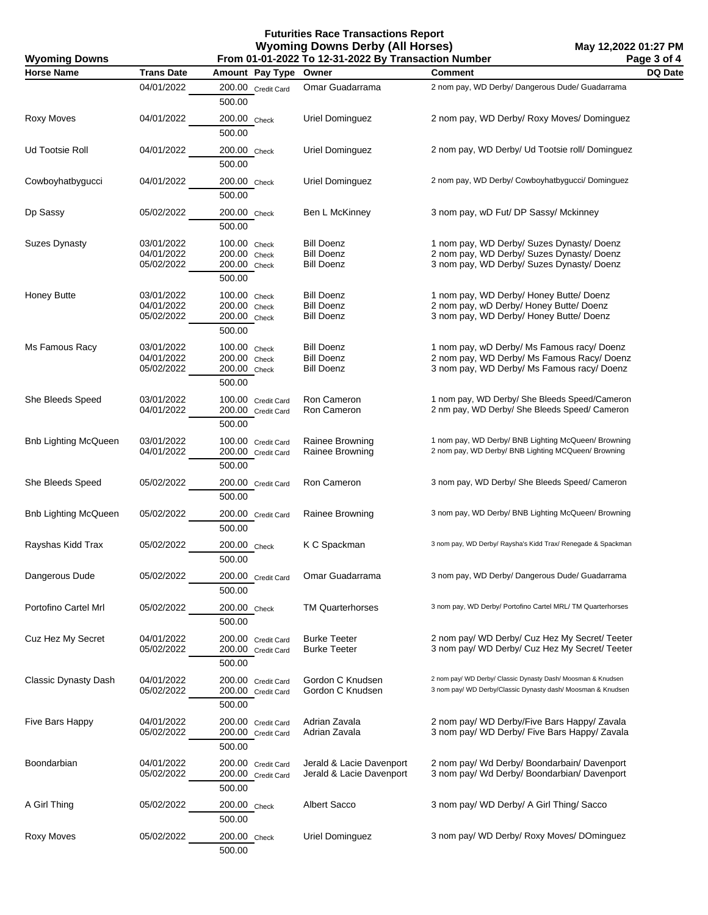| <b>Wyoming Downs</b>        | From 01-01-2022 To 12-31-2022 By Transaction Number |                                                        |                                                             |                                                                                                                                        | Page 3 of 4 |
|-----------------------------|-----------------------------------------------------|--------------------------------------------------------|-------------------------------------------------------------|----------------------------------------------------------------------------------------------------------------------------------------|-------------|
| <b>Horse Name</b>           | <b>Trans Date</b>                                   | Amount Pay Type Owner                                  |                                                             | <b>Comment</b>                                                                                                                         | DQ Date     |
|                             | 04/01/2022                                          | 200.00 Credit Card<br>500.00                           | Omar Guadarrama                                             | 2 nom pay, WD Derby/ Dangerous Dude/ Guadarrama                                                                                        |             |
| Roxy Moves                  | 04/01/2022                                          | 200.00 Check<br>500.00                                 | Uriel Dominguez                                             | 2 nom pay, WD Derby/ Roxy Moves/ Dominguez                                                                                             |             |
| Ud Tootsie Roll             | 04/01/2022                                          | 200.00 Check<br>500.00                                 | Uriel Dominguez                                             | 2 nom pay, WD Derby/ Ud Tootsie roll/ Dominguez                                                                                        |             |
| Cowboyhatbygucci            | 04/01/2022                                          | 200.00 Check<br>500.00                                 | Uriel Dominguez                                             | 2 nom pay, WD Derby/ Cowboyhatbygucci/ Dominguez                                                                                       |             |
| Dp Sassy                    | 05/02/2022                                          | 200.00 Check<br>500.00                                 | Ben L McKinney                                              | 3 nom pay, wD Fut/ DP Sassy/ Mckinney                                                                                                  |             |
| <b>Suzes Dynasty</b>        | 03/01/2022<br>04/01/2022<br>05/02/2022              | 100.00 Check<br>200.00 Check<br>200.00 Check<br>500.00 | <b>Bill Doenz</b><br><b>Bill Doenz</b><br><b>Bill Doenz</b> | 1 nom pay, WD Derby/ Suzes Dynasty/ Doenz<br>2 nom pay, WD Derby/ Suzes Dynasty/ Doenz<br>3 nom pay, WD Derby/ Suzes Dynasty/ Doenz    |             |
| Honey Butte                 | 03/01/2022<br>04/01/2022<br>05/02/2022              | 100.00 Check<br>200.00 Check<br>200.00 Check<br>500.00 | <b>Bill Doenz</b><br><b>Bill Doenz</b><br><b>Bill Doenz</b> | 1 nom pay, WD Derby/ Honey Butte/ Doenz<br>2 nom pay, wD Derby/ Honey Butte/ Doenz<br>3 nom pay, WD Derby/ Honey Butte/ Doenz          |             |
| Ms Famous Racy              | 03/01/2022<br>04/01/2022<br>05/02/2022              | 100.00 Check<br>200.00 Check<br>200.00 Check<br>500.00 | <b>Bill Doenz</b><br><b>Bill Doenz</b><br><b>Bill Doenz</b> | 1 nom pay, wD Derby/ Ms Famous racy/ Doenz<br>2 nom pay, WD Derby/ Ms Famous Racy/ Doenz<br>3 nom pay, WD Derby/ Ms Famous racy/ Doenz |             |
| She Bleeds Speed            | 03/01/2022<br>04/01/2022                            | 100.00 Credit Card<br>200.00 Credit Card<br>500.00     | Ron Cameron<br>Ron Cameron                                  | 1 nom pay, WD Derby/ She Bleeds Speed/Cameron<br>2 nm pay, WD Derby/ She Bleeds Speed/ Cameron                                         |             |
| Bnb Lighting McQueen        | 03/01/2022<br>04/01/2022                            | 100.00 Credit Card<br>200.00 Credit Card<br>500.00     | Rainee Browning<br>Rainee Browning                          | 1 nom pay, WD Derby/ BNB Lighting McQueen/ Browning<br>2 nom pay, WD Derby/ BNB Lighting MCQueen/ Browning                             |             |
| She Bleeds Speed            | 05/02/2022                                          | 200.00 Credit Card<br>500.00                           | Ron Cameron                                                 | 3 nom pay, WD Derby/ She Bleeds Speed/ Cameron                                                                                         |             |
| <b>Bnb Lighting McQueen</b> | 05/02/2022                                          | 200.00 Credit Card<br>500.00                           | Rainee Browning                                             | 3 nom pay, WD Derby/ BNB Lighting McQueen/ Browning                                                                                    |             |
| Rayshas Kidd Trax           | 05/02/2022                                          | 200.00 Check<br>500.00                                 | K C Spackman                                                | 3 nom pay, WD Derby/ Raysha's Kidd Trax/ Renegade & Spackman                                                                           |             |
| Dangerous Dude              | 05/02/2022                                          | 200.00 Credit Card<br>500.00                           | Omar Guadarrama                                             | 3 nom pay, WD Derby/ Dangerous Dude/ Guadarrama                                                                                        |             |
| Portofino Cartel Mrl        | 05/02/2022                                          | 200.00 Check<br>500.00                                 | <b>TM Quarterhorses</b>                                     | 3 nom pay, WD Derby/ Portofino Cartel MRL/ TM Quarterhorses                                                                            |             |
| Cuz Hez My Secret           | 04/01/2022<br>05/02/2022                            | 200.00 Credit Card<br>200.00 Credit Card<br>500.00     | <b>Burke Teeter</b><br><b>Burke Teeter</b>                  | 2 nom pay/ WD Derby/ Cuz Hez My Secret/ Teeter<br>3 nom pay/ WD Derby/ Cuz Hez My Secret/ Teeter                                       |             |
| <b>Classic Dynasty Dash</b> | 04/01/2022<br>05/02/2022                            | 200.00 Credit Card<br>200.00 Credit Card<br>500.00     | Gordon C Knudsen<br>Gordon C Knudsen                        | 2 nom pay/ WD Derby/ Classic Dynasty Dash/ Moosman & Knudsen<br>3 nom pay/ WD Derby/Classic Dynasty dash/ Moosman & Knudsen            |             |
| Five Bars Happy             | 04/01/2022<br>05/02/2022                            | 200.00 Credit Card<br>200.00 Credit Card<br>500.00     | Adrian Zavala<br>Adrian Zavala                              | 2 nom pay/ WD Derby/Five Bars Happy/ Zavala<br>3 nom pay/ WD Derby/ Five Bars Happy/ Zavala                                            |             |
| Boondarbian                 | 04/01/2022<br>05/02/2022                            | 200.00 Credit Card<br>200.00 Credit Card<br>500.00     | Jerald & Lacie Davenport<br>Jerald & Lacie Davenport        | 2 nom pay/ Wd Derby/ Boondarbain/ Davenport<br>3 nom pay/ Wd Derby/ Boondarbian/ Davenport                                             |             |
| A Girl Thing                | 05/02/2022                                          | 200.00 Check<br>500.00                                 | Albert Sacco                                                | 3 nom pay/ WD Derby/ A Girl Thing/ Sacco                                                                                               |             |
| Roxy Moves                  | 05/02/2022                                          | 200.00 Check<br>500.00                                 | Uriel Dominguez                                             | 3 nom pay/ WD Derby/ Roxy Moves/ DOminguez                                                                                             |             |